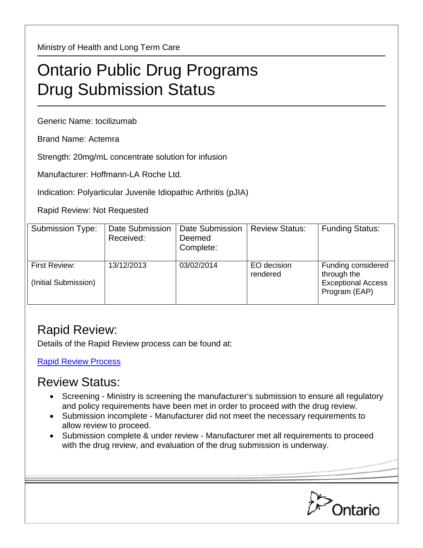Ministry of Health and Long Term Care

## Ontario Public Drug Programs Drug Submission Status

Generic Name: tocilizumab

Brand Name: Actemra

Strength: 20mg/mL concentrate solution for infusion

Manufacturer: Hoffmann-LA Roche Ltd.

Indication: Polyarticular Juvenile Idiopathic Arthritis (pJIA)

Rapid Review: Not Requested

| Submission Type:                      | Date Submission<br>Received: | Date Submission<br>Deemed<br>Complete: | <b>Review Status:</b>   | <b>Funding Status:</b>                                                          |
|---------------------------------------|------------------------------|----------------------------------------|-------------------------|---------------------------------------------------------------------------------|
| First Review:<br>(Initial Submission) | 13/12/2013                   | 03/02/2014                             | EO decision<br>rendered | Funding considered<br>through the<br><b>Exceptional Access</b><br>Program (EAP) |

## Rapid Review:

Details of the Rapid Review process can be found at:

Rapid [Review Process](http://www.health.gov.on.ca/en/pro/programs/drugs/drug_submissions/rapid_review_process.aspx)

## Review Status:

- Screening Ministry is screening the manufacturer's submission to ensure all regulatory and policy requirements have been met in order to proceed with the drug review.
- Submission incomplete Manufacturer did not meet the necessary requirements to allow review to proceed.
- Submission complete & under review Manufacturer met all requirements to proceed with the drug review, and evaluation of the drug submission is underway.